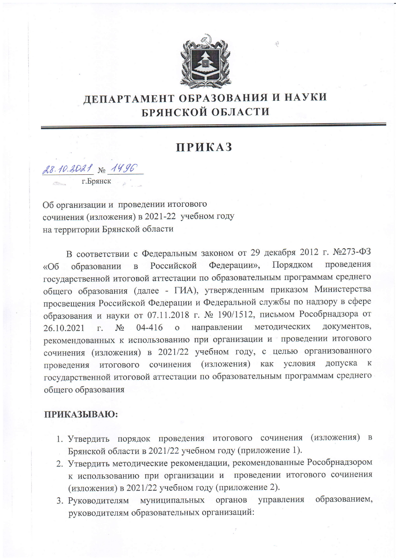

## ДЕПАРТАМЕНТ ОБРАЗОВАНИЯ И НАУКИ БРЯНСКОЙ ОБЛАСТИ

## **ПРИКАЗ**

28.10.2021 No 1496

г.Брянск

Об организации и проведении итогового сочинения (изложения) в 2021-22 учебном году на территории Брянской области

В соответствии с Федеральным законом от 29 декабря 2012 г. №273-ФЗ Российской Федерации», Порядком проведения образовании  $\overline{B}$  $\triangleleft$ Oб государственной итоговой аттестации по образовательным программам среднего общего образования (далее - ГИА), утвержденным приказом Министерства просвещения Российской Федерации и Федеральной службы по надзору в сфере образования и науки от 07.11.2018 г. № 190/1512, письмом Рособрнадзора от методических документов,  $N<sub>o</sub>$  $04 - 416$  $\overline{O}$ направлении 26.10.2021  $\Gamma$ . рекомендованных к использованию при организации и проведении итогового сочинения (изложения) в 2021/22 учебном году, с целью организованного проведения итогового сочинения (изложения) как условия допуска к государственной итоговой аттестации по образовательным программам среднего общего образования

## ПРИКАЗЫВАЮ:

- 1. Утвердить порядок проведения итогового сочинения (изложения) в Брянской области в 2021/22 учебном году (приложение 1).
- 2. Утвердить методические рекомендации, рекомендованные Рособрнадзором к использованию при организации и проведении итогового сочинения (изложения) в 2021/22 учебном году (приложение 2).
- образованием, 3. Руководителям муниципальных органов управления руководителям образовательных организаций: